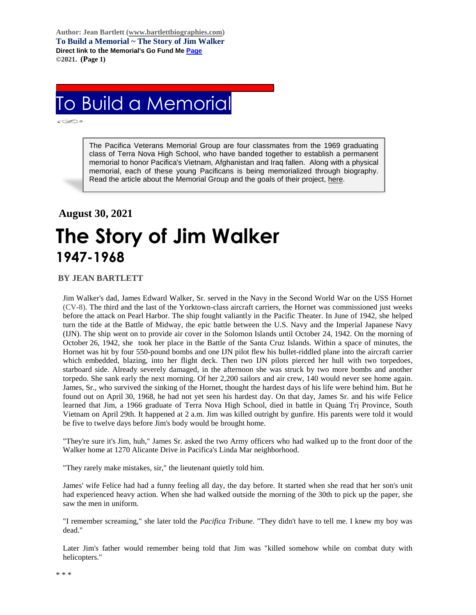**Author: Jean Bartlett [\(www.bartlettbiographies.com\)](http://www.bartlettbiographies.com/) To Build a Memorial ~ The Story of Jim Walker Direct link to the Memorial's Go Fund M[e Page](https://www.gofundme.com/f/uyf8r-25000?utm_source=customer&utm_medium=copy_link-tip&utm_campaign=p_cp+share-sheet) ©2021. (Page 1)**

## To Build a Memorial

ĺ

The Pacifica Veterans Memorial Group are four classmates from the 1969 graduating class of Terra Nova High School, who have banded together to establish a permanent memorial to honor Pacifica's Vietnam, Afghanistan and Iraq fallen. Along with a physical memorial, each of these young Pacificans is being memorialized through biography. Read the article about the Memorial Group and the goals of their project, [here.](https://46d14119-b42d-469c-887f-083db2a10fe7.filesusr.com/ugd/5ea9c3_694b61f9c88d4750bf1a520233e8f35f.pdf)

## **August 30, 2021**

## **The Story of Jim Walker 1947-1968**

## **BY JEAN BARTLETT**

Jim Walker's dad, James Edward Walker, Sr. served in the Navy in the Second World War on the USS Hornet (CV-8). The third and the last of the Yorktown-class aircraft carriers, the Hornet was commissioned just weeks before the attack on Pearl Harbor. The ship fought valiantly in the Pacific Theater. In June of 1942, she helped turn the tide at the Battle of Midway, the epic battle between the U.S. Navy and the Imperial Japanese Navy (IJN). The ship went on to provide air cover in the Solomon Islands until October 24, 1942. On the morning of October 26, 1942, she took her place in the Battle of the Santa Cruz Islands. Within a space of minutes, the Hornet was hit by four 550-pound bombs and one IJN pilot flew his bullet-riddled plane into the aircraft carrier which embedded, blazing, into her flight deck. Then two IJN pilots pierced her hull with two torpedoes, starboard side. Already severely damaged, in the afternoon she was struck by two more bombs and another torpedo. She sank early the next morning. Of her 2,200 sailors and air crew, 140 would never see home again. James, Sr., who survived the sinking of the Hornet, thought the hardest days of his life were behind him. But he found out on April 30, 1968, he had not yet seen his hardest day. On that day, James Sr. and his wife Felice learned that Jim, a 1966 graduate of Terra Nova High School, died in battle in Quảng Trị Province, South Vietnam on April 29th. It happened at 2 a.m. Jim was killed outright by gunfire. His parents were told it would be five to twelve days before Jim's body would be brought home.

"They're sure it's Jim, huh," James Sr. asked the two Army officers who had walked up to the front door of the Walker home at 1270 Alicante Drive in Pacifica's Linda Mar neighborhood.

"They rarely make mistakes, sir," the lieutenant quietly told him.

James' wife Felice had had a funny feeling all day, the day before. It started when she read that her son's unit had experienced heavy action. When she had walked outside the morning of the 30th to pick up the paper, she saw the men in uniform.

"I remember screaming," she later told the *Pacifica Tribune*. "They didn't have to tell me. I knew my boy was dead."

Later Jim's father would remember being told that Jim was "killed somehow while on combat duty with helicopters."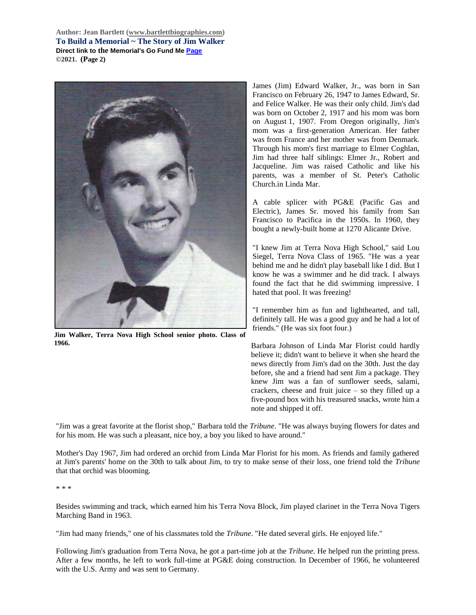**Author: Jean Bartlett [\(www.bartlettbiographies.com\)](http://www.bartlettbiographies.com/) To Build a Memorial ~ The Story of Jim Walker Direct link to the Memorial's Go Fund M[e Page](https://www.gofundme.com/f/uyf8r-25000?utm_source=customer&utm_medium=copy_link-tip&utm_campaign=p_cp+share-sheet) ©2021. (Page 2)**



**Jim Walker, Terra Nova High School senior photo. Class of 1966.**

James (Jim) Edward Walker, Jr., was born in San Francisco on February 26, 1947 to James Edward, Sr. and Felice Walker. He was their only child. Jim's dad was born on October 2, 1917 and his mom was born on August 1, 1907. From Oregon originally, Jim's mom was a first-generation American. Her father was from France and her mother was from Denmark. Through his mom's first marriage to Elmer Coghlan, Jim had three half siblings: Elmer Jr., Robert and Jacqueline. Jim was raised Catholic and like his parents, was a member of St. Peter's Catholic Church.in Linda Mar.

A cable splicer with PG&E (Pacific Gas and Electric), James Sr. moved his family from San Francisco to Pacifica in the 1950s. In 1960, they bought a newly-built home at 1270 Alicante Drive.

"I knew Jim at Terra Nova High School," said Lou Siegel, Terra Nova Class of 1965. "He was a year behind me and he didn't play baseball like I did. But I know he was a swimmer and he did track. I always found the fact that he did swimming impressive. I hated that pool. It was freezing!

"I remember him as fun and lighthearted, and tall, definitely tall. He was a good guy and he had a lot of friends." (He was six foot four.)

Barbara Johnson of Linda Mar Florist could hardly believe it; didn't want to believe it when she heard the news directly from Jim's dad on the 30th. Just the day before, she and a friend had sent Jim a package. They knew Jim was a fan of sunflower seeds, salami, crackers, cheese and fruit juice – so they filled up a five-pound box with his treasured snacks, wrote him a note and shipped it off.

"Jim was a great favorite at the florist shop," Barbara told the *Tribune*. "He was always buying flowers for dates and for his mom. He was such a pleasant, nice boy, a boy you liked to have around."

Mother's Day 1967, Jim had ordered an orchid from Linda Mar Florist for his mom. As friends and family gathered at Jim's parents' home on the 30th to talk about Jim, to try to make sense of their loss, one friend told the *Tribune*  that that orchid was blooming.

\* \* \*

Besides swimming and track, which earned him his Terra Nova Block, Jim played clarinet in the Terra Nova Tigers Marching Band in 1963.

"Jim had many friends," one of his classmates told the *Tribune*. "He dated several girls. He enjoyed life."

Following Jim's graduation from Terra Nova, he got a part-time job at the *Tribune*. He helped run the printing press. After a few months, he left to work full-time at PG&E doing construction. In December of 1966, he volunteered with the U.S. Army and was sent to Germany.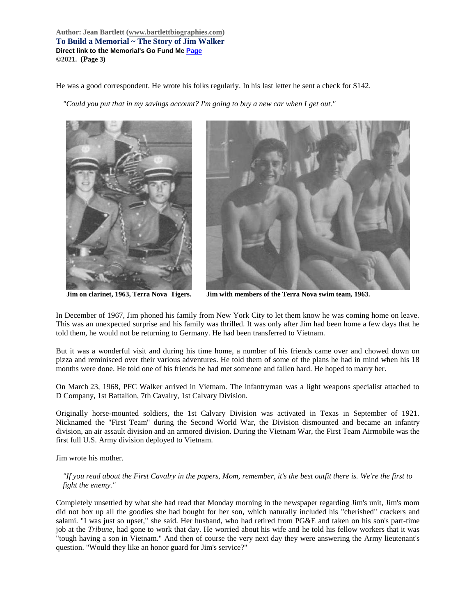**Author: Jean Bartlett [\(www.bartlettbiographies.com\)](http://www.bartlettbiographies.com/) To Build a Memorial ~ The Story of Jim Walker Direct link to the Memorial's Go Fund M[e Page](https://www.gofundme.com/f/uyf8r-25000?utm_source=customer&utm_medium=copy_link-tip&utm_campaign=p_cp+share-sheet) ©2021. (Page 3)**

He was a good correspondent. He wrote his folks regularly. In his last letter he sent a check for \$142.

*"Could you put that in my savings account? I'm going to buy a new car when I get out."*



**Jim on clarinet, 1963, Terra Nova Tigers. Jim with members of the Terra Nova swim team, 1963.**

In December of 1967, Jim phoned his family from New York City to let them know he was coming home on leave. This was an unexpected surprise and his family was thrilled. It was only after Jim had been home a few days that he told them, he would not be returning to Germany. He had been transferred to Vietnam.

But it was a wonderful visit and during his time home, a number of his friends came over and chowed down on pizza and reminisced over their various adventures. He told them of some of the plans he had in mind when his 18 months were done. He told one of his friends he had met someone and fallen hard. He hoped to marry her.

On March 23, 1968, PFC Walker arrived in Vietnam. The infantryman was a light weapons specialist attached to D Company, 1st Battalion, 7th Cavalry, 1st Calvary Division.

Originally horse-mounted soldiers, the 1st Calvary Division was activated in Texas in September of 1921. Nicknamed the "First Team" during the Second World War, the Division dismounted and became an infantry division, an air assault division and an armored division. During the Vietnam War, the First Team Airmobile was the first full U.S. Army division deployed to Vietnam.

Jim wrote his mother.

*"If you read about the First Cavalry in the papers, Mom, remember, it's the best outfit there is. We're the first to fight the enemy."*

Completely unsettled by what she had read that Monday morning in the newspaper regarding Jim's unit, Jim's mom did not box up all the goodies she had bought for her son, which naturally included his "cherished" crackers and salami. "I was just so upset," she said. Her husband, who had retired from PG&E and taken on his son's part-time job at the *Tribune*, had gone to work that day. He worried about his wife and he told his fellow workers that it was "tough having a son in Vietnam." And then of course the very next day they were answering the Army lieutenant's question. "Would they like an honor guard for Jim's service?"